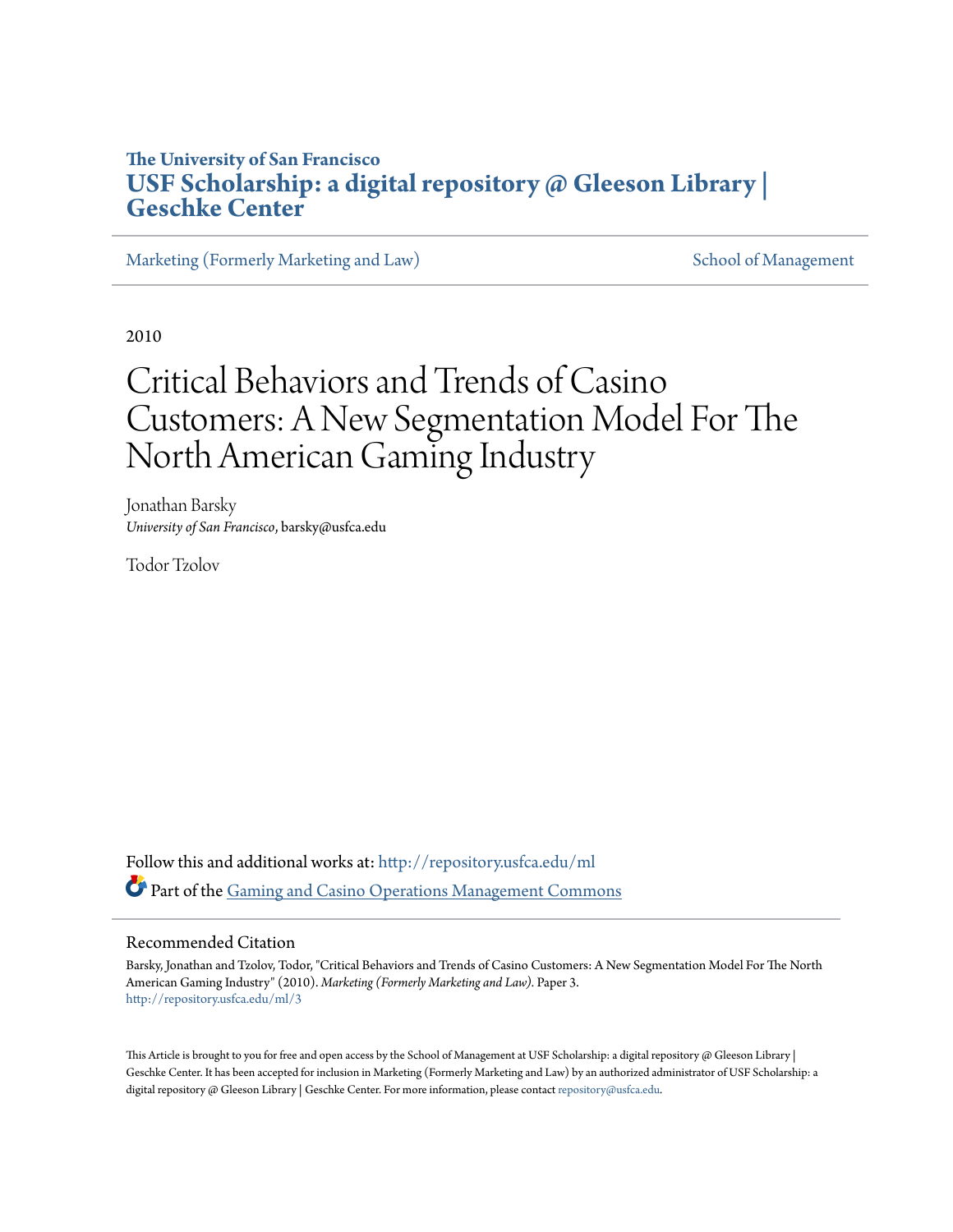## **The University of San Francisco [USF Scholarship: a digital repository @ Gleeson Library |](http://repository.usfca.edu?utm_source=repository.usfca.edu%2Fml%2F3&utm_medium=PDF&utm_campaign=PDFCoverPages) [Geschke Center](http://repository.usfca.edu?utm_source=repository.usfca.edu%2Fml%2F3&utm_medium=PDF&utm_campaign=PDFCoverPages)**

[Marketing \(Formerly Marketing and Law\)](http://repository.usfca.edu/ml?utm_source=repository.usfca.edu%2Fml%2F3&utm_medium=PDF&utm_campaign=PDFCoverPages) [School of Management](http://repository.usfca.edu/management?utm_source=repository.usfca.edu%2Fml%2F3&utm_medium=PDF&utm_campaign=PDFCoverPages)

2010

# Critical Behaviors and Trends of Casino Customers: A New Segmentation Model For The North American Gaming Industry

Jonathan Barsky *University of San Francisco*, barsky@usfca.edu

Todor Tzolov

Follow this and additional works at: [http://repository.usfca.edu/ml](http://repository.usfca.edu/ml?utm_source=repository.usfca.edu%2Fml%2F3&utm_medium=PDF&utm_campaign=PDFCoverPages) Part of the [Gaming and Casino Operations Management Commons](http://network.bepress.com/hgg/discipline/1088?utm_source=repository.usfca.edu%2Fml%2F3&utm_medium=PDF&utm_campaign=PDFCoverPages)

#### Recommended Citation

Barsky, Jonathan and Tzolov, Todor, "Critical Behaviors and Trends of Casino Customers: A New Segmentation Model For The North American Gaming Industry" (2010). *Marketing (Formerly Marketing and Law).* Paper 3. [http://repository.usfca.edu/ml/3](http://repository.usfca.edu/ml/3?utm_source=repository.usfca.edu%2Fml%2F3&utm_medium=PDF&utm_campaign=PDFCoverPages)

This Article is brought to you for free and open access by the School of Management at USF Scholarship: a digital repository  $\omega$  Gleeson Library | Geschke Center. It has been accepted for inclusion in Marketing (Formerly Marketing and Law) by an authorized administrator of USF Scholarship: a digital repository @ Gleeson Library | Geschke Center. For more information, please contact [repository@usfca.edu](mailto:repository@usfca.edu).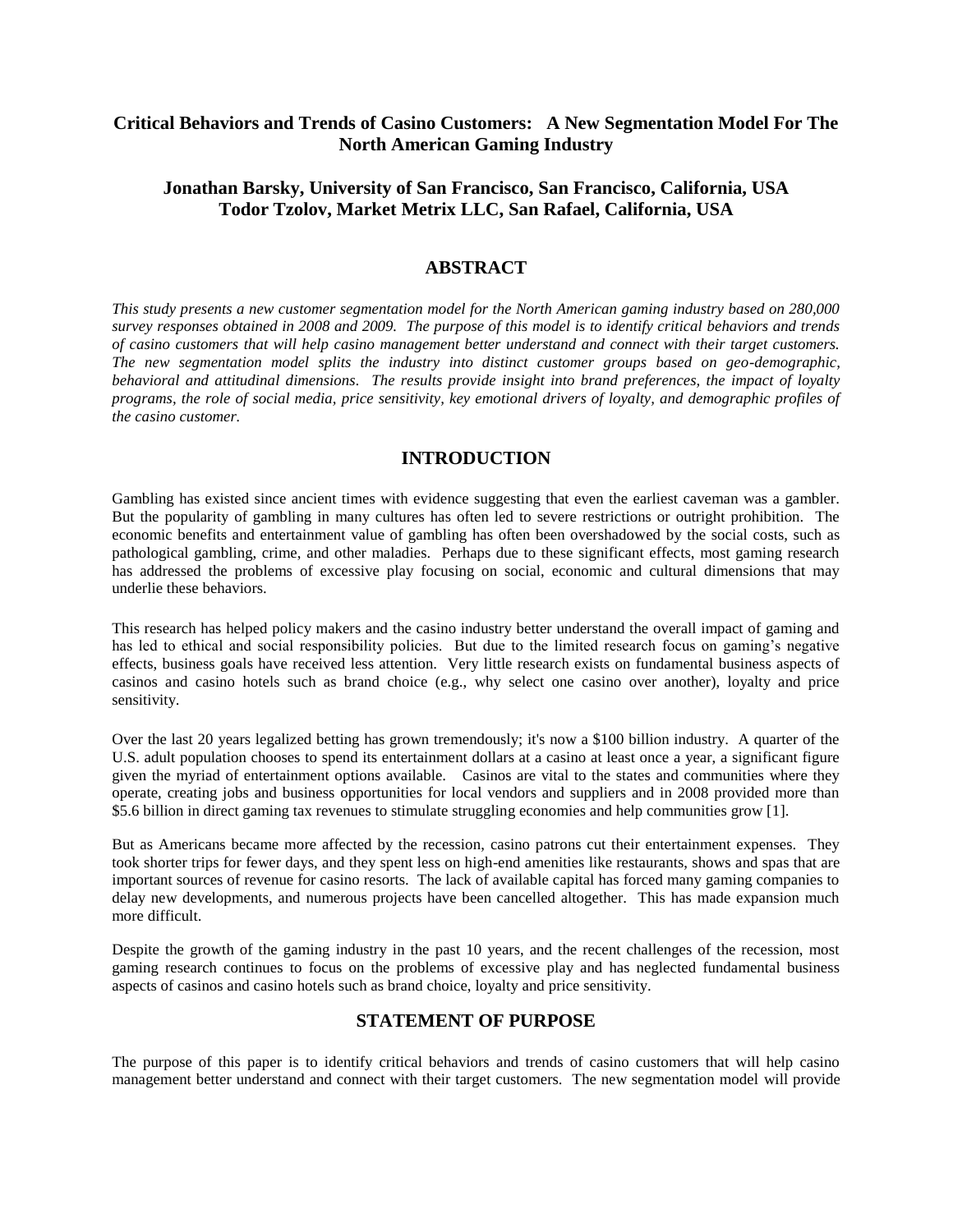## **Critical Behaviors and Trends of Casino Customers: A New Segmentation Model For The North American Gaming Industry**

## **Jonathan Barsky, University of San Francisco, San Francisco, California, USA Todor Tzolov, Market Metrix LLC, San Rafael, California, USA**

#### **ABSTRACT**

*This study presents a new customer segmentation model for the North American gaming industry based on 280,000 survey responses obtained in 2008 and 2009. The purpose of this model is to identify critical behaviors and trends of casino customers that will help casino management better understand and connect with their target customers. The new segmentation model splits the industry into distinct customer groups based on geo-demographic, behavioral and attitudinal dimensions. The results provide insight into brand preferences, the impact of loyalty*  programs, the role of social media, price sensitivity, key emotional drivers of loyalty, and demographic profiles of *the casino customer.*

#### **INTRODUCTION**

Gambling has existed since ancient times with evidence suggesting that even the earliest caveman was a gambler. But the popularity of gambling in many cultures has often led to severe restrictions or outright prohibition. The economic benefits and entertainment value of gambling has often been overshadowed by the social costs, such as pathological gambling, crime, and other maladies. Perhaps due to these significant effects, most gaming research has addressed the problems of excessive play focusing on social, economic and cultural dimensions that may underlie these behaviors.

This research has helped policy makers and the casino industry better understand the overall impact of gaming and has led to ethical and social responsibility policies. But due to the limited research focus on gaming's negative effects, business goals have received less attention. Very little research exists on fundamental business aspects of casinos and casino hotels such as brand choice (e.g., why select one casino over another), loyalty and price sensitivity.

Over the last 20 years legalized betting has grown tremendously; it's now a \$100 billion industry. A quarter of the U.S. adult population chooses to spend its entertainment dollars at a casino at least once a year, a significant figure given the myriad of entertainment options available. Casinos are vital to the states and communities where they operate, creating jobs and business opportunities for local vendors and suppliers and in 2008 provided more than \$5.6 billion in direct gaming tax revenues to stimulate struggling economies and help communities grow [1].

But as Americans became more affected by the recession, casino patrons cut their entertainment expenses. They took shorter trips for fewer days, and they spent less on high-end amenities like restaurants, shows and spas that are important sources of revenue for casino resorts. The lack of available capital has forced many gaming companies to delay new developments, and numerous projects have been cancelled altogether. This has made expansion much more difficult.

Despite the growth of the gaming industry in the past 10 years, and the recent challenges of the recession, most gaming research continues to focus on the problems of excessive play and has neglected fundamental business aspects of casinos and casino hotels such as brand choice, loyalty and price sensitivity.

## **STATEMENT OF PURPOSE**

The purpose of this paper is to identify critical behaviors and trends of casino customers that will help casino management better understand and connect with their target customers. The new segmentation model will provide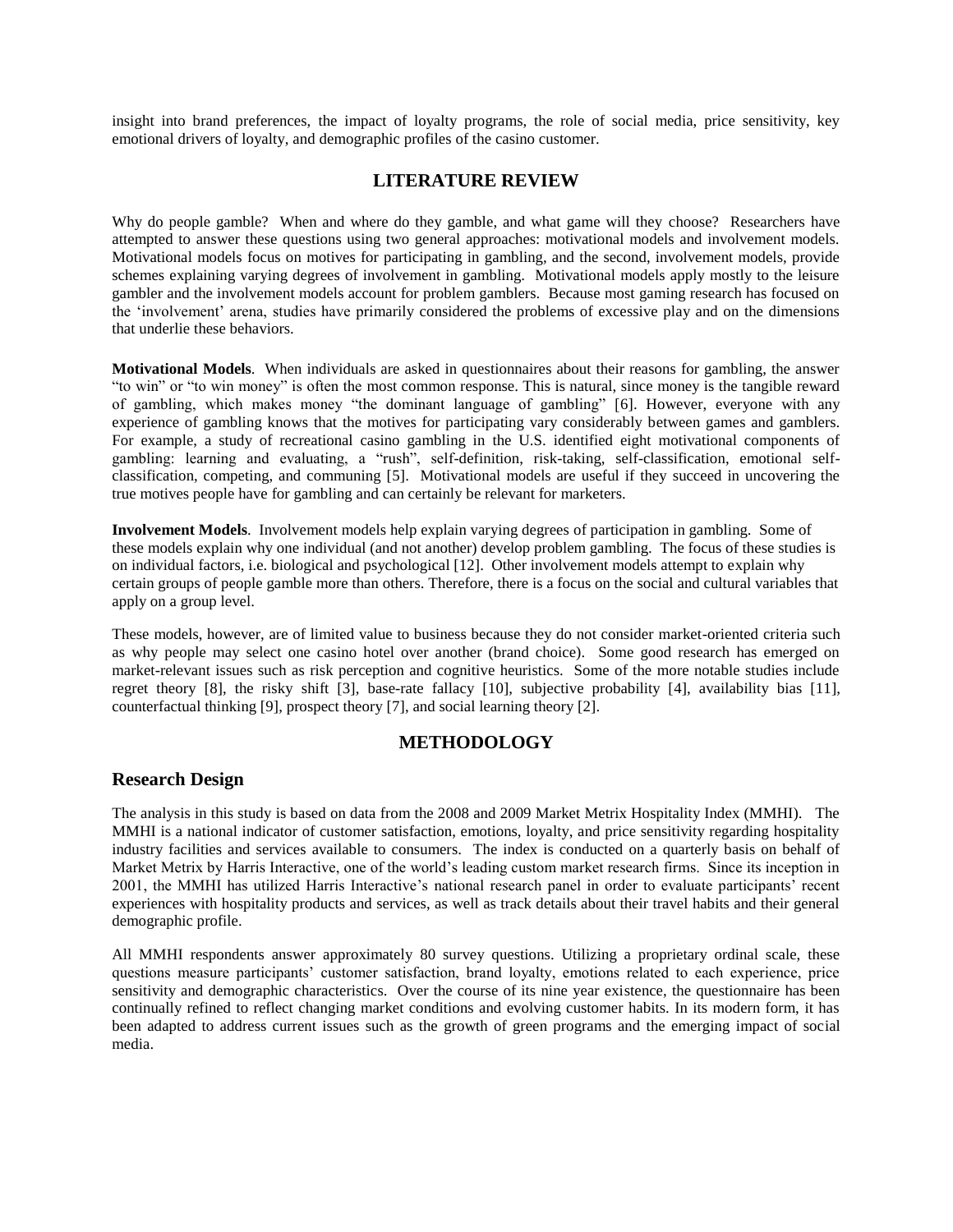insight into brand preferences, the impact of loyalty programs, the role of social media, price sensitivity, key emotional drivers of loyalty, and demographic profiles of the casino customer.

## **LITERATURE REVIEW**

Why do people gamble? When and where do they gamble, and what game will they choose? Researchers have attempted to answer these questions using two general approaches: motivational models and involvement models. Motivational models focus on motives for participating in gambling, and the second, involvement models, provide schemes explaining varying degrees of involvement in gambling. Motivational models apply mostly to the leisure gambler and the involvement models account for problem gamblers. Because most gaming research has focused on the "involvement" arena, studies have primarily considered the problems of excessive play and on the dimensions that underlie these behaviors.

**Motivational Models**. When individuals are asked in questionnaires about their reasons for gambling, the answer "to win" or "to win money" is often the most common response. This is natural, since money is the tangible reward of gambling, which makes money "the dominant language of gambling" [6]. However, everyone with any experience of gambling knows that the motives for participating vary considerably between games and gamblers. For example, a study of recreational casino gambling in the U.S. identified eight motivational components of gambling: learning and evaluating, a "rush", self-definition, risk-taking, self-classification, emotional selfclassification, competing, and communing [5]. Motivational models are useful if they succeed in uncovering the true motives people have for gambling and can certainly be relevant for marketers.

**Involvement Models**. Involvement models help explain varying degrees of participation in gambling. Some of these models explain why one individual (and not another) develop problem gambling. The focus of these studies is on individual factors, i.e. biological and psychological [12]. Other involvement models attempt to explain why certain groups of people gamble more than others. Therefore, there is a focus on the social and cultural variables that apply on a group level.

These models, however, are of limited value to business because they do not consider market-oriented criteria such as why people may select one casino hotel over another (brand choice). Some good research has emerged on market-relevant issues such as risk perception and cognitive heuristics. Some of the more notable studies include regret theory [8], the risky shift [3], base-rate fallacy [10], subjective probability [4], availability bias [11], counterfactual thinking [9], prospect theory [7], and social learning theory [2].

## **METHODOLOGY**

#### **Research Design**

The analysis in this study is based on data from the 2008 and 2009 Market Metrix Hospitality Index (MMHI). The MMHI is a national indicator of customer satisfaction, emotions, loyalty, and price sensitivity regarding hospitality industry facilities and services available to consumers. The index is conducted on a quarterly basis on behalf of Market Metrix by Harris Interactive, one of the world"s leading custom market research firms. Since its inception in 2001, the MMHI has utilized Harris Interactive's national research panel in order to evaluate participants' recent experiences with hospitality products and services, as well as track details about their travel habits and their general demographic profile.

All MMHI respondents answer approximately 80 survey questions. Utilizing a proprietary ordinal scale, these questions measure participants" customer satisfaction, brand loyalty, emotions related to each experience, price sensitivity and demographic characteristics. Over the course of its nine year existence, the questionnaire has been continually refined to reflect changing market conditions and evolving customer habits. In its modern form, it has been adapted to address current issues such as the growth of green programs and the emerging impact of social media.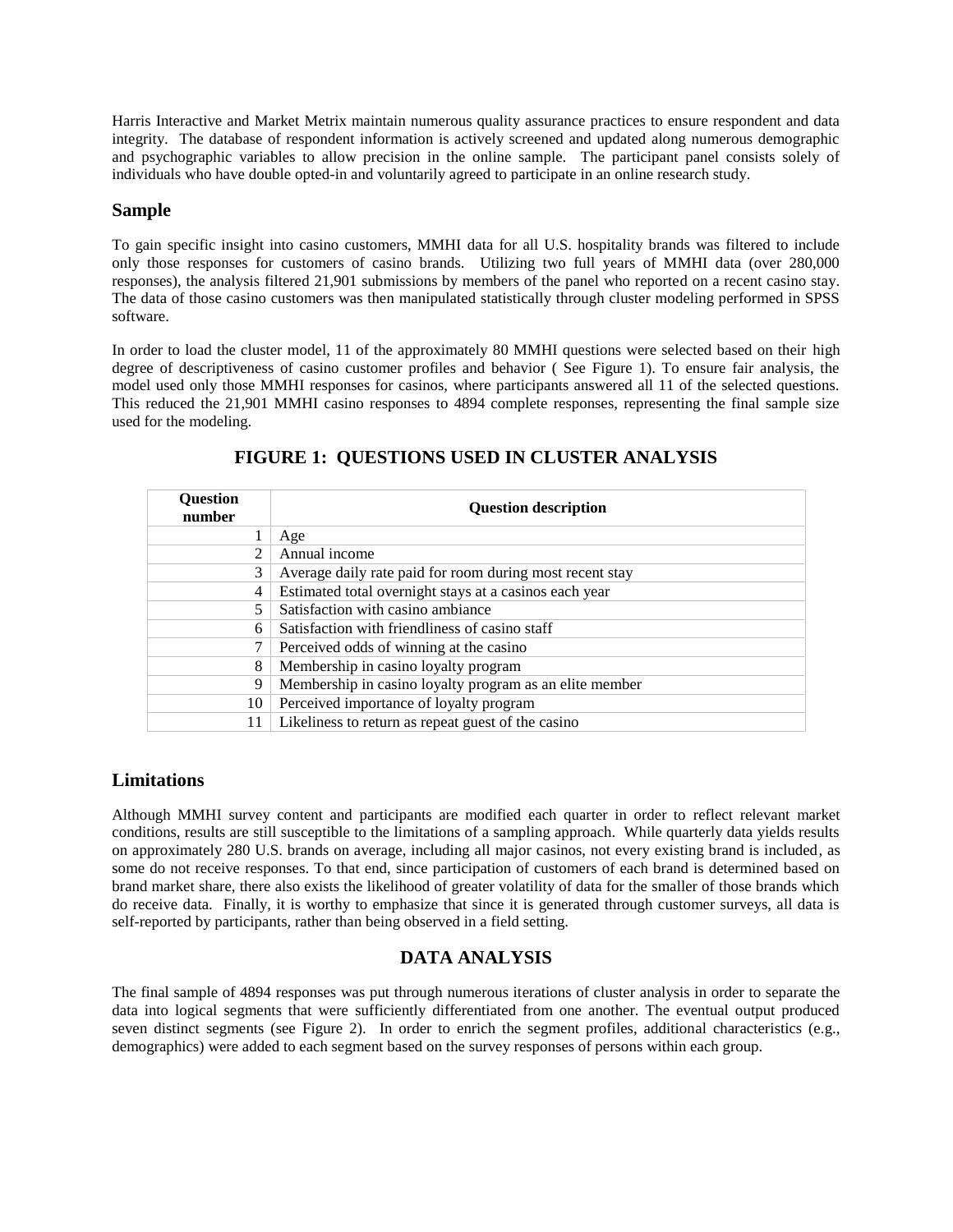Harris Interactive and Market Metrix maintain numerous quality assurance practices to ensure respondent and data integrity. The database of respondent information is actively screened and updated along numerous demographic and psychographic variables to allow precision in the online sample. The participant panel consists solely of individuals who have double opted-in and voluntarily agreed to participate in an online research study.

#### **Sample**

To gain specific insight into casino customers, MMHI data for all U.S. hospitality brands was filtered to include only those responses for customers of casino brands. Utilizing two full years of MMHI data (over 280,000 responses), the analysis filtered 21,901 submissions by members of the panel who reported on a recent casino stay. The data of those casino customers was then manipulated statistically through cluster modeling performed in SPSS software.

In order to load the cluster model, 11 of the approximately 80 MMHI questions were selected based on their high degree of descriptiveness of casino customer profiles and behavior ( See Figure 1). To ensure fair analysis, the model used only those MMHI responses for casinos, where participants answered all 11 of the selected questions. This reduced the 21,901 MMHI casino responses to 4894 complete responses, representing the final sample size used for the modeling.

| Question<br>number          | <b>Question description</b>                              |  |
|-----------------------------|----------------------------------------------------------|--|
|                             | Age                                                      |  |
| $\mathcal{D}_{\mathcal{L}}$ | Annual income                                            |  |
| 3                           | Average daily rate paid for room during most recent stay |  |
| 4                           | Estimated total overnight stays at a casinos each year   |  |
|                             | Satisfaction with casino ambiance                        |  |
| 6                           | Satisfaction with friendliness of casino staff           |  |
| 7                           | Perceived odds of winning at the casino                  |  |
| 8                           | Membership in casino loyalty program                     |  |
| 9                           | Membership in casino loyalty program as an elite member  |  |
| 10                          | Perceived importance of loyalty program                  |  |
| 11                          | Likeliness to return as repeat guest of the casino       |  |

## **FIGURE 1: QUESTIONS USED IN CLUSTER ANALYSIS**

#### **Limitations**

Although MMHI survey content and participants are modified each quarter in order to reflect relevant market conditions, results are still susceptible to the limitations of a sampling approach. While quarterly data yields results on approximately 280 U.S. brands on average, including all major casinos, not every existing brand is included, as some do not receive responses. To that end, since participation of customers of each brand is determined based on brand market share, there also exists the likelihood of greater volatility of data for the smaller of those brands which do receive data. Finally, it is worthy to emphasize that since it is generated through customer surveys, all data is self-reported by participants, rather than being observed in a field setting.

## **DATA ANALYSIS**

The final sample of 4894 responses was put through numerous iterations of cluster analysis in order to separate the data into logical segments that were sufficiently differentiated from one another. The eventual output produced seven distinct segments (see Figure 2). In order to enrich the segment profiles, additional characteristics (e.g., demographics) were added to each segment based on the survey responses of persons within each group.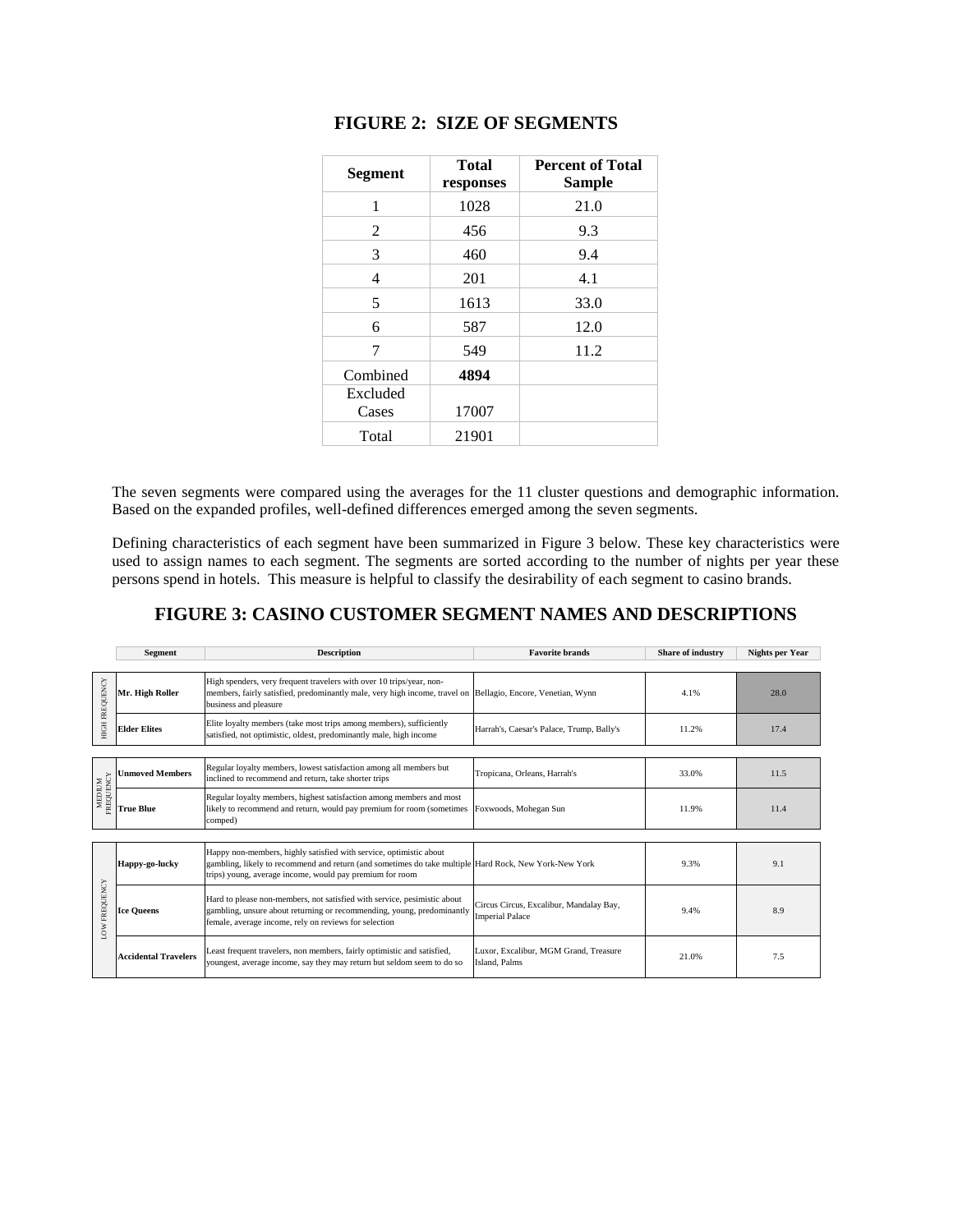| <b>Segment</b> | <b>Total</b><br>responses | <b>Percent of Total</b><br><b>Sample</b> |
|----------------|---------------------------|------------------------------------------|
| 1              | 1028                      | 21.0                                     |
| 2              | 456                       | 9.3                                      |
| 3              | 460                       | 9.4                                      |
| 4              | 201                       | 4.1                                      |
| 5              | 1613                      | 33.0                                     |
| 6              | 587                       | 12.0                                     |
| 7              | 549                       | 11.2                                     |
| Combined       | 4894                      |                                          |
| Excluded       |                           |                                          |
| Cases          | 17007                     |                                          |
| Total          | 21901                     |                                          |

## **FIGURE 2: SIZE OF SEGMENTS**

The seven segments were compared using the averages for the 11 cluster questions and demographic information. Based on the expanded profiles, well-defined differences emerged among the seven segments.

Defining characteristics of each segment have been summarized in Figure 3 below. These key characteristics were used to assign names to each segment. The segments are sorted according to the number of nights per year these persons spend in hotels. This measure is helpful to classify the desirability of each segment to casino brands.

## **FIGURE 3: CASINO CUSTOMER SEGMENT NAMES AND DESCRIPTIONS**

|                       | Segment                     | <b>Description</b>                                                                                                                                                                                                                      | <b>Favorite brands</b>                                            | <b>Share of industry</b> | Nights per Year |
|-----------------------|-----------------------------|-----------------------------------------------------------------------------------------------------------------------------------------------------------------------------------------------------------------------------------------|-------------------------------------------------------------------|--------------------------|-----------------|
|                       |                             |                                                                                                                                                                                                                                         |                                                                   |                          |                 |
| <b>HIGH FREQUENCY</b> | Mr. High Roller             | High spenders, very frequent travelers with over 10 trips/year, non-<br>members, fairly satisfied, predominantly male, very high income, travel on Bellagio, Encore, Venetian, Wynn<br>business and pleasure                            |                                                                   | 4.1%                     | 28.0            |
|                       | <b>Elder Elites</b>         | Elite loyalty members (take most trips among members), sufficiently<br>satisfied, not optimistic, oldest, predominantly male, high income                                                                                               | Harrah's, Caesar's Palace, Trump, Bally's                         | 11.2%                    | 17.4            |
|                       |                             |                                                                                                                                                                                                                                         |                                                                   |                          |                 |
| MEDIUM<br>FREQUENCY   | <b>Unmoved Members</b>      | Regular loyalty members, lowest satisfaction among all members but<br>inclined to recommend and return, take shorter trips                                                                                                              | Tropicana, Orleans, Harrah's                                      | 33.0%                    | 11.5            |
|                       | <b>True Blue</b>            | Regular loyalty members, highest satisfaction among members and most<br>likely to recommend and return, would pay premium for room (sometimes<br>comped)                                                                                | Foxwoods, Mohegan Sun                                             | 11.9%                    | 11.4            |
|                       |                             |                                                                                                                                                                                                                                         |                                                                   |                          |                 |
| LOW FREQUENCY         | Happy-go-lucky              | Happy non-members, highly satisfied with service, optimistic about<br>gambling, likely to recommend and return (and sometimes do take multiple Hard Rock, New York-New York<br>trips) young, average income, would pay premium for room |                                                                   | 9.3%                     | 9.1             |
|                       | <b>Ice Queens</b>           | Hard to please non-members, not satisfied with service, pesimistic about<br>gambling, unsure about returning or recommending, young, predominantly<br>female, average income, rely on reviews for selection                             | Circus Circus, Excalibur, Mandalay Bay,<br><b>Imperial Palace</b> | 9.4%                     | 8.9             |
|                       | <b>Accidental Travelers</b> | Least frequent travelers, non members, fairly optimistic and satisfied,<br>youngest, average income, say they may return but seldom seem to do so                                                                                       | Luxor, Excalibur, MGM Grand, Treasure<br>Island, Palms            | 21.0%                    | 7.5             |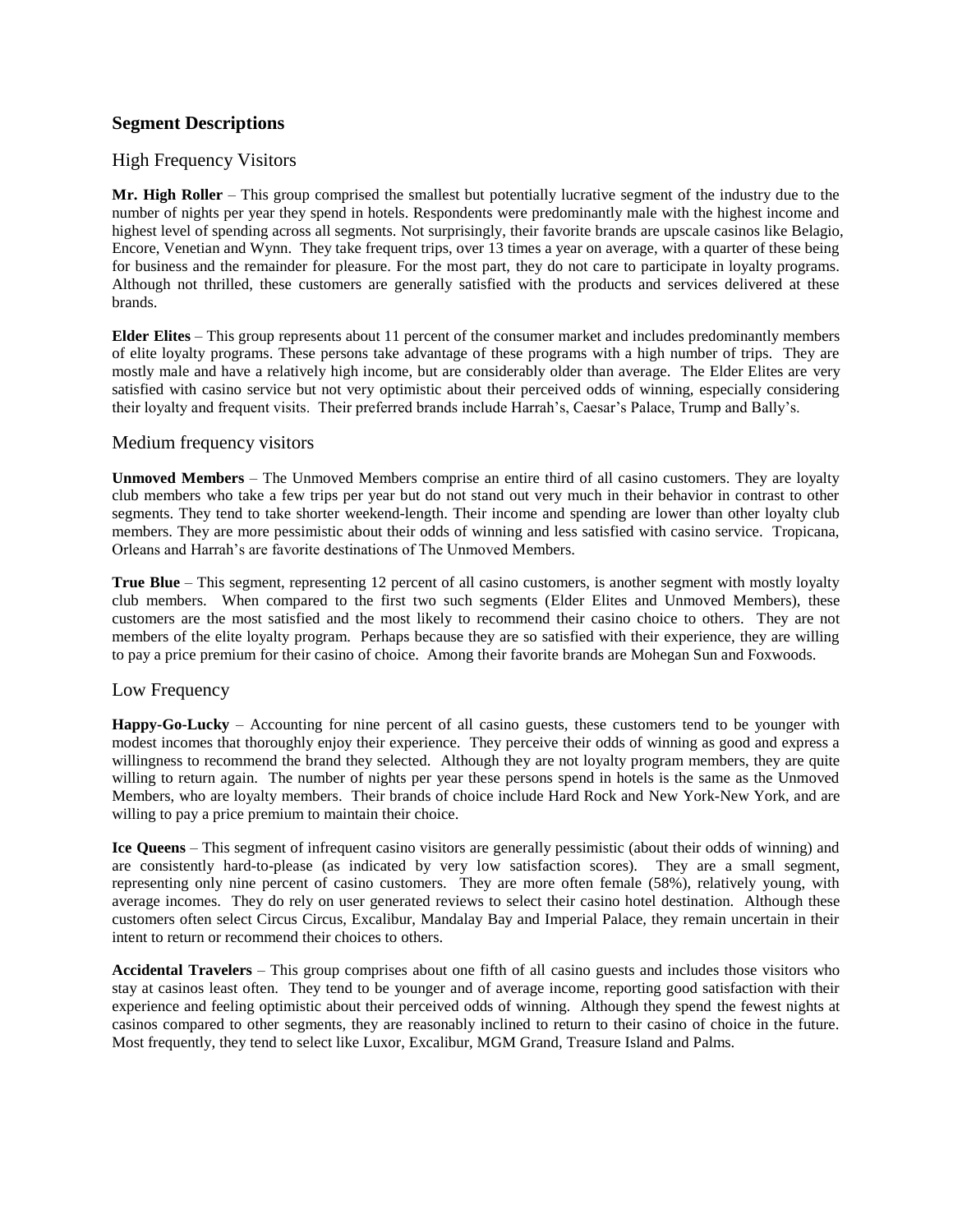#### **Segment Descriptions**

#### High Frequency Visitors

**Mr. High Roller** – This group comprised the smallest but potentially lucrative segment of the industry due to the number of nights per year they spend in hotels. Respondents were predominantly male with the highest income and highest level of spending across all segments. Not surprisingly, their favorite brands are upscale casinos like Belagio, Encore, Venetian and Wynn. They take frequent trips, over 13 times a year on average, with a quarter of these being for business and the remainder for pleasure. For the most part, they do not care to participate in loyalty programs. Although not thrilled, these customers are generally satisfied with the products and services delivered at these brands.

**Elder Elites** – This group represents about 11 percent of the consumer market and includes predominantly members of elite loyalty programs. These persons take advantage of these programs with a high number of trips. They are mostly male and have a relatively high income, but are considerably older than average. The Elder Elites are very satisfied with casino service but not very optimistic about their perceived odds of winning, especially considering their loyalty and frequent visits. Their preferred brands include Harrah's, Caesar's Palace, Trump and Bally's.

#### Medium frequency visitors

**Unmoved Members** – The Unmoved Members comprise an entire third of all casino customers. They are loyalty club members who take a few trips per year but do not stand out very much in their behavior in contrast to other segments. They tend to take shorter weekend-length. Their income and spending are lower than other loyalty club members. They are more pessimistic about their odds of winning and less satisfied with casino service. Tropicana, Orleans and Harrah"s are favorite destinations of The Unmoved Members.

**True Blue** – This segment, representing 12 percent of all casino customers, is another segment with mostly loyalty club members. When compared to the first two such segments (Elder Elites and Unmoved Members), these customers are the most satisfied and the most likely to recommend their casino choice to others. They are not members of the elite loyalty program. Perhaps because they are so satisfied with their experience, they are willing to pay a price premium for their casino of choice. Among their favorite brands are Mohegan Sun and Foxwoods.

#### Low Frequency

**Happy-Go-Lucky** – Accounting for nine percent of all casino guests, these customers tend to be younger with modest incomes that thoroughly enjoy their experience. They perceive their odds of winning as good and express a willingness to recommend the brand they selected. Although they are not loyalty program members, they are quite willing to return again. The number of nights per year these persons spend in hotels is the same as the Unmoved Members, who are loyalty members. Their brands of choice include Hard Rock and New York-New York, and are willing to pay a price premium to maintain their choice.

**Ice Queens** – This segment of infrequent casino visitors are generally pessimistic (about their odds of winning) and are consistently hard-to-please (as indicated by very low satisfaction scores). They are a small segment, representing only nine percent of casino customers. They are more often female (58%), relatively young, with average incomes. They do rely on user generated reviews to select their casino hotel destination. Although these customers often select Circus Circus, Excalibur, Mandalay Bay and Imperial Palace, they remain uncertain in their intent to return or recommend their choices to others.

**Accidental Travelers** – This group comprises about one fifth of all casino guests and includes those visitors who stay at casinos least often. They tend to be younger and of average income, reporting good satisfaction with their experience and feeling optimistic about their perceived odds of winning. Although they spend the fewest nights at casinos compared to other segments, they are reasonably inclined to return to their casino of choice in the future. Most frequently, they tend to select like Luxor, Excalibur, MGM Grand, Treasure Island and Palms.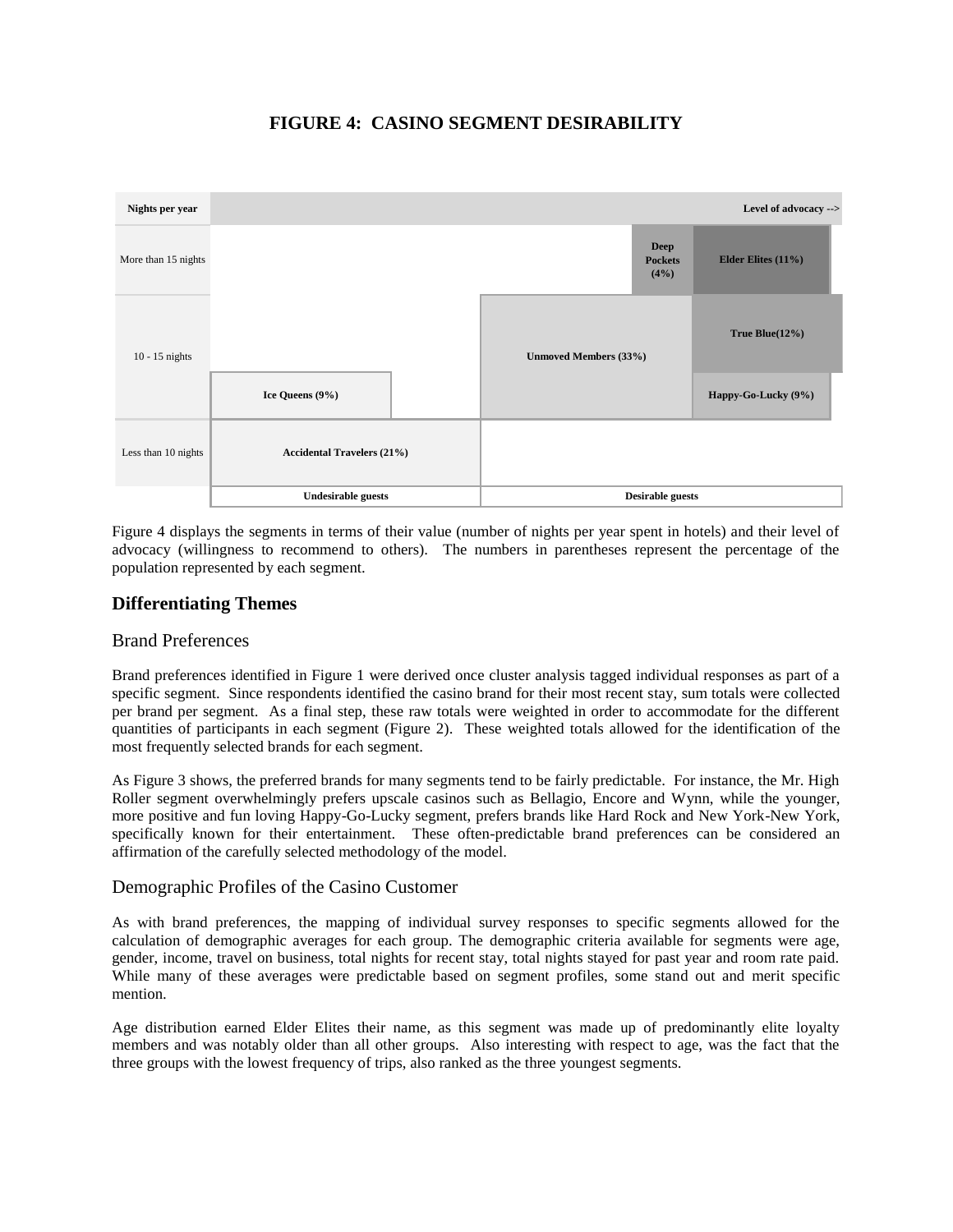## **FIGURE 4: CASINO SEGMENT DESIRABILITY**



Figure 4 displays the segments in terms of their value (number of nights per year spent in hotels) and their level of advocacy (willingness to recommend to others). The numbers in parentheses represent the percentage of the population represented by each segment.

## **Differentiating Themes**

#### Brand Preferences

Brand preferences identified in Figure 1 were derived once cluster analysis tagged individual responses as part of a specific segment. Since respondents identified the casino brand for their most recent stay, sum totals were collected per brand per segment. As a final step, these raw totals were weighted in order to accommodate for the different quantities of participants in each segment (Figure 2). These weighted totals allowed for the identification of the most frequently selected brands for each segment.

As Figure 3 shows, the preferred brands for many segments tend to be fairly predictable. For instance, the Mr. High Roller segment overwhelmingly prefers upscale casinos such as Bellagio, Encore and Wynn, while the younger, more positive and fun loving Happy-Go-Lucky segment, prefers brands like Hard Rock and New York-New York, specifically known for their entertainment. These often-predictable brand preferences can be considered an affirmation of the carefully selected methodology of the model.

#### Demographic Profiles of the Casino Customer

As with brand preferences, the mapping of individual survey responses to specific segments allowed for the calculation of demographic averages for each group. The demographic criteria available for segments were age, gender, income, travel on business, total nights for recent stay, total nights stayed for past year and room rate paid. While many of these averages were predictable based on segment profiles, some stand out and merit specific mention.

Age distribution earned Elder Elites their name, as this segment was made up of predominantly elite loyalty members and was notably older than all other groups. Also interesting with respect to age, was the fact that the three groups with the lowest frequency of trips, also ranked as the three youngest segments.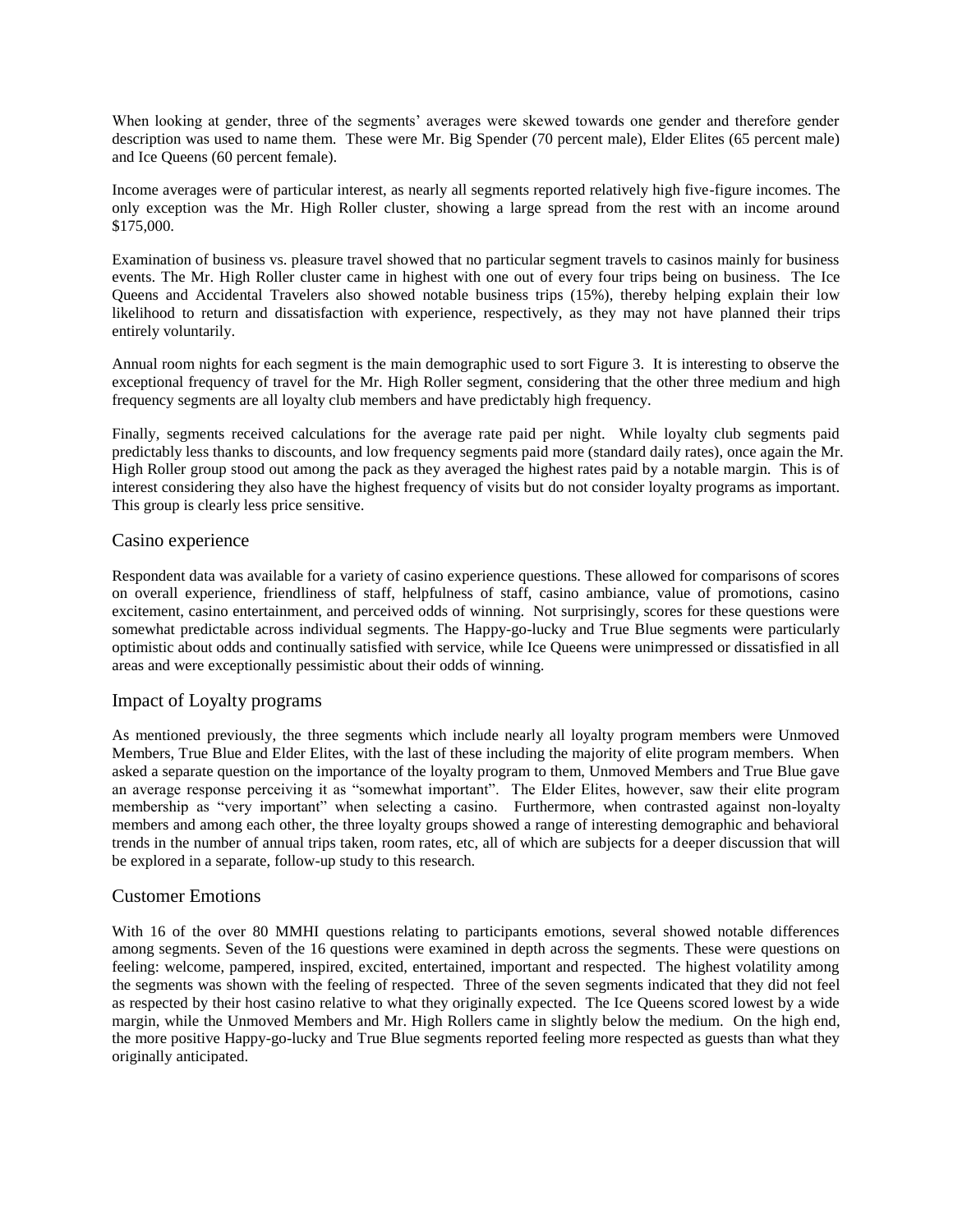When looking at gender, three of the segments' averages were skewed towards one gender and therefore gender description was used to name them. These were Mr. Big Spender (70 percent male), Elder Elites (65 percent male) and Ice Queens (60 percent female).

Income averages were of particular interest, as nearly all segments reported relatively high five-figure incomes. The only exception was the Mr. High Roller cluster, showing a large spread from the rest with an income around \$175,000.

Examination of business vs. pleasure travel showed that no particular segment travels to casinos mainly for business events. The Mr. High Roller cluster came in highest with one out of every four trips being on business. The Ice Queens and Accidental Travelers also showed notable business trips (15%), thereby helping explain their low likelihood to return and dissatisfaction with experience, respectively, as they may not have planned their trips entirely voluntarily.

Annual room nights for each segment is the main demographic used to sort Figure 3. It is interesting to observe the exceptional frequency of travel for the Mr. High Roller segment, considering that the other three medium and high frequency segments are all loyalty club members and have predictably high frequency.

Finally, segments received calculations for the average rate paid per night. While loyalty club segments paid predictably less thanks to discounts, and low frequency segments paid more (standard daily rates), once again the Mr. High Roller group stood out among the pack as they averaged the highest rates paid by a notable margin. This is of interest considering they also have the highest frequency of visits but do not consider loyalty programs as important. This group is clearly less price sensitive.

#### Casino experience

Respondent data was available for a variety of casino experience questions. These allowed for comparisons of scores on overall experience, friendliness of staff, helpfulness of staff, casino ambiance, value of promotions, casino excitement, casino entertainment, and perceived odds of winning. Not surprisingly, scores for these questions were somewhat predictable across individual segments. The Happy-go-lucky and True Blue segments were particularly optimistic about odds and continually satisfied with service, while Ice Queens were unimpressed or dissatisfied in all areas and were exceptionally pessimistic about their odds of winning.

#### Impact of Loyalty programs

As mentioned previously, the three segments which include nearly all loyalty program members were Unmoved Members, True Blue and Elder Elites, with the last of these including the majority of elite program members. When asked a separate question on the importance of the loyalty program to them, Unmoved Members and True Blue gave an average response perceiving it as "somewhat important". The Elder Elites, however, saw their elite program membership as "very important" when selecting a casino. Furthermore, when contrasted against non-loyalty members and among each other, the three loyalty groups showed a range of interesting demographic and behavioral trends in the number of annual trips taken, room rates, etc, all of which are subjects for a deeper discussion that will be explored in a separate, follow-up study to this research.

#### Customer Emotions

With 16 of the over 80 MMHI questions relating to participants emotions, several showed notable differences among segments. Seven of the 16 questions were examined in depth across the segments. These were questions on feeling: welcome, pampered, inspired, excited, entertained, important and respected. The highest volatility among the segments was shown with the feeling of respected. Three of the seven segments indicated that they did not feel as respected by their host casino relative to what they originally expected. The Ice Queens scored lowest by a wide margin, while the Unmoved Members and Mr. High Rollers came in slightly below the medium. On the high end, the more positive Happy-go-lucky and True Blue segments reported feeling more respected as guests than what they originally anticipated.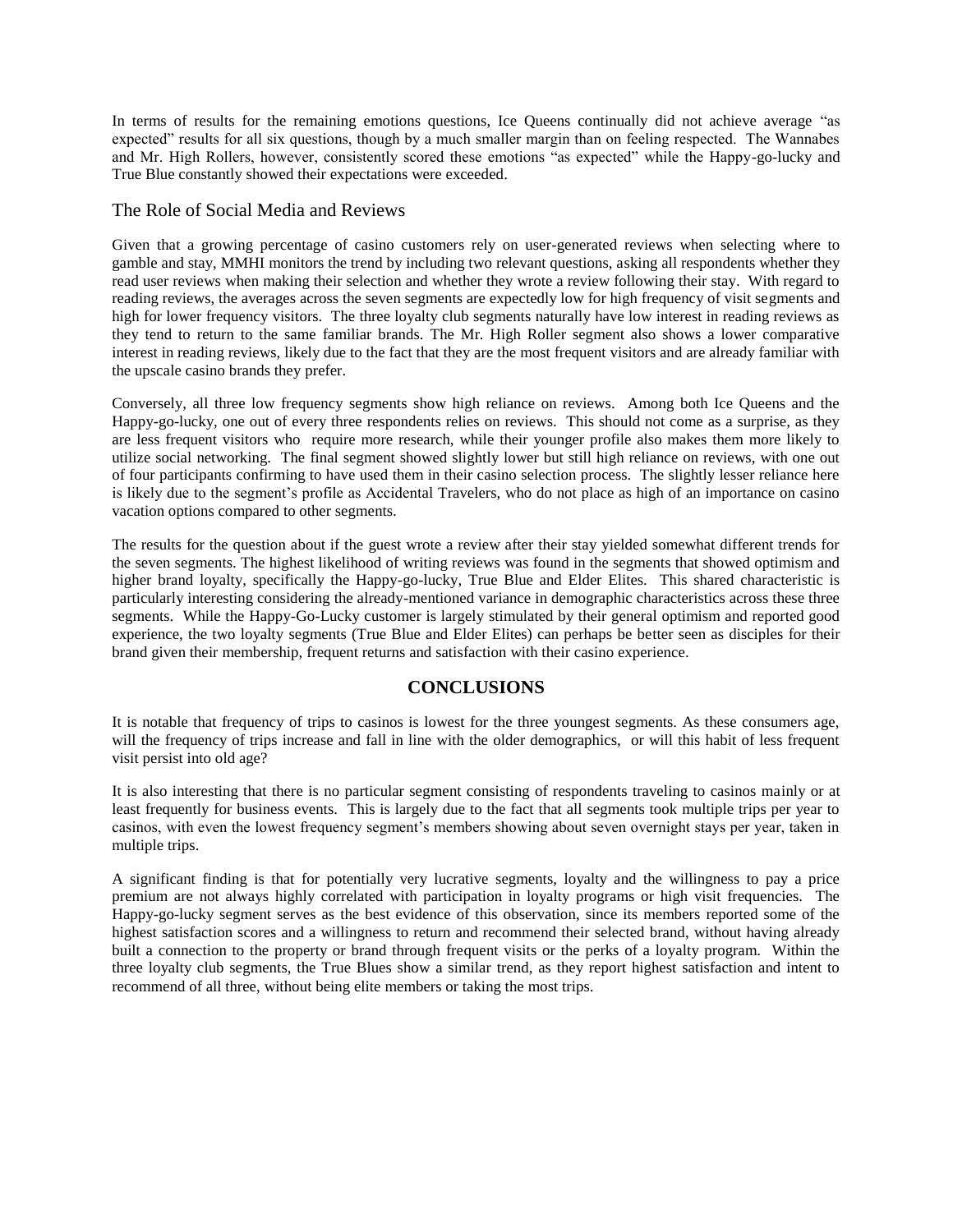In terms of results for the remaining emotions questions, Ice Queens continually did not achieve average "as expected" results for all six questions, though by a much smaller margin than on feeling respected. The Wannabes and Mr. High Rollers, however, consistently scored these emotions "as expected" while the Happy-go-lucky and True Blue constantly showed their expectations were exceeded.

#### The Role of Social Media and Reviews

Given that a growing percentage of casino customers rely on user-generated reviews when selecting where to gamble and stay, MMHI monitors the trend by including two relevant questions, asking all respondents whether they read user reviews when making their selection and whether they wrote a review following their stay. With regard to reading reviews, the averages across the seven segments are expectedly low for high frequency of visit segments and high for lower frequency visitors. The three loyalty club segments naturally have low interest in reading reviews as they tend to return to the same familiar brands. The Mr. High Roller segment also shows a lower comparative interest in reading reviews, likely due to the fact that they are the most frequent visitors and are already familiar with the upscale casino brands they prefer.

Conversely, all three low frequency segments show high reliance on reviews. Among both Ice Queens and the Happy-go-lucky, one out of every three respondents relies on reviews. This should not come as a surprise, as they are less frequent visitors who require more research, while their younger profile also makes them more likely to utilize social networking. The final segment showed slightly lower but still high reliance on reviews, with one out of four participants confirming to have used them in their casino selection process. The slightly lesser reliance here is likely due to the segment's profile as Accidental Travelers, who do not place as high of an importance on casino vacation options compared to other segments.

The results for the question about if the guest wrote a review after their stay yielded somewhat different trends for the seven segments. The highest likelihood of writing reviews was found in the segments that showed optimism and higher brand loyalty, specifically the Happy-go-lucky, True Blue and Elder Elites. This shared characteristic is particularly interesting considering the already-mentioned variance in demographic characteristics across these three segments. While the Happy-Go-Lucky customer is largely stimulated by their general optimism and reported good experience, the two loyalty segments (True Blue and Elder Elites) can perhaps be better seen as disciples for their brand given their membership, frequent returns and satisfaction with their casino experience.

## **CONCLUSIONS**

It is notable that frequency of trips to casinos is lowest for the three youngest segments. As these consumers age, will the frequency of trips increase and fall in line with the older demographics, or will this habit of less frequent visit persist into old age?

It is also interesting that there is no particular segment consisting of respondents traveling to casinos mainly or at least frequently for business events. This is largely due to the fact that all segments took multiple trips per year to casinos, with even the lowest frequency segment"s members showing about seven overnight stays per year, taken in multiple trips.

A significant finding is that for potentially very lucrative segments, loyalty and the willingness to pay a price premium are not always highly correlated with participation in loyalty programs or high visit frequencies. The Happy-go-lucky segment serves as the best evidence of this observation, since its members reported some of the highest satisfaction scores and a willingness to return and recommend their selected brand, without having already built a connection to the property or brand through frequent visits or the perks of a loyalty program. Within the three loyalty club segments, the True Blues show a similar trend, as they report highest satisfaction and intent to recommend of all three, without being elite members or taking the most trips.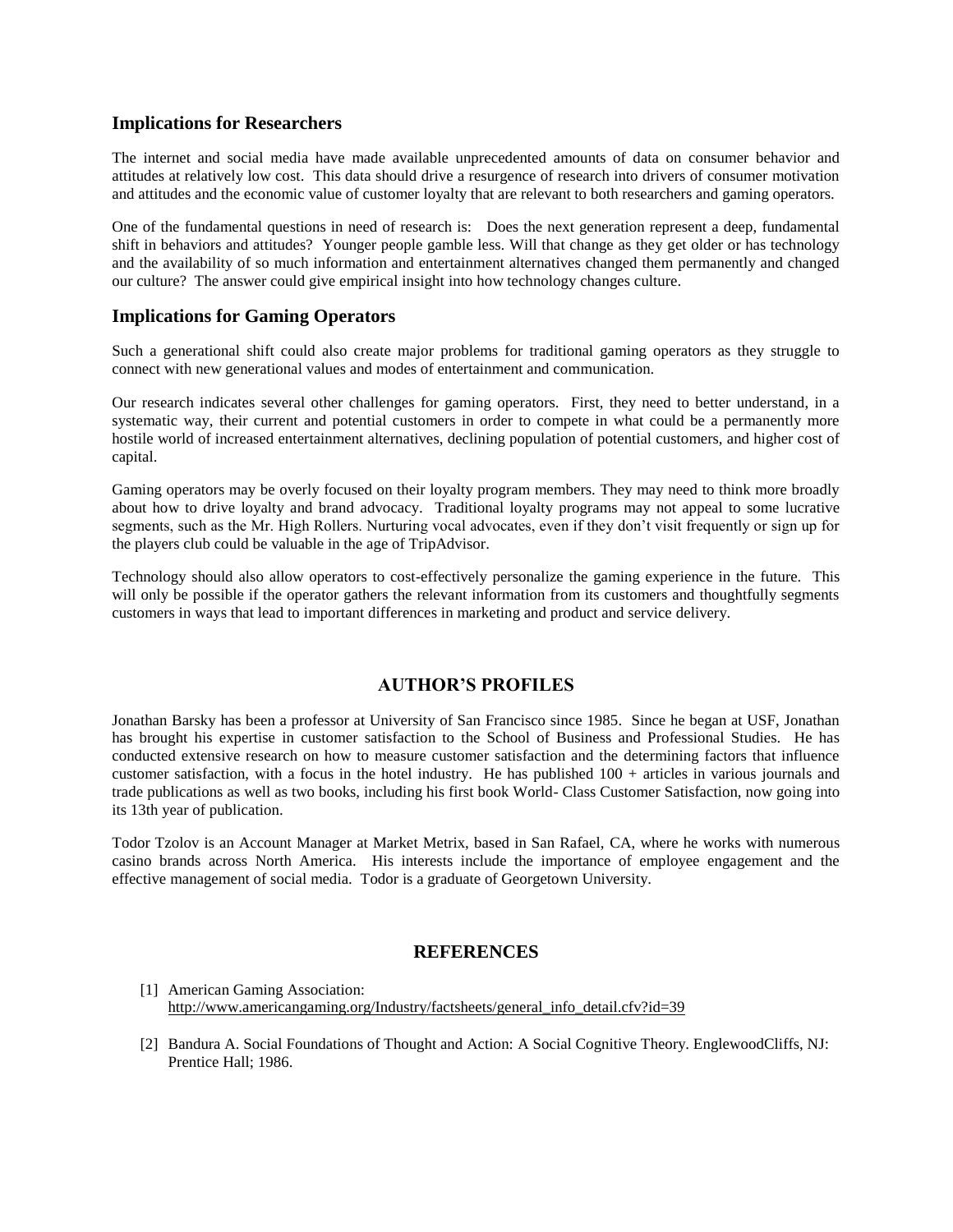#### **Implications for Researchers**

The internet and social media have made available unprecedented amounts of data on consumer behavior and attitudes at relatively low cost. This data should drive a resurgence of research into drivers of consumer motivation and attitudes and the economic value of customer loyalty that are relevant to both researchers and gaming operators.

One of the fundamental questions in need of research is: Does the next generation represent a deep, fundamental shift in behaviors and attitudes? Younger people gamble less. Will that change as they get older or has technology and the availability of so much information and entertainment alternatives changed them permanently and changed our culture? The answer could give empirical insight into how technology changes culture.

#### **Implications for Gaming Operators**

Such a generational shift could also create major problems for traditional gaming operators as they struggle to connect with new generational values and modes of entertainment and communication.

Our research indicates several other challenges for gaming operators. First, they need to better understand, in a systematic way, their current and potential customers in order to compete in what could be a permanently more hostile world of increased entertainment alternatives, declining population of potential customers, and higher cost of capital.

Gaming operators may be overly focused on their loyalty program members. They may need to think more broadly about how to drive loyalty and brand advocacy. Traditional loyalty programs may not appeal to some lucrative segments, such as the Mr. High Rollers. Nurturing vocal advocates, even if they don't visit frequently or sign up for the players club could be valuable in the age of TripAdvisor.

Technology should also allow operators to cost-effectively personalize the gaming experience in the future. This will only be possible if the operator gathers the relevant information from its customers and thoughtfully segments customers in ways that lead to important differences in marketing and product and service delivery.

#### **AUTHOR'S PROFILES**

Jonathan Barsky has been a professor at University of San Francisco since 1985. Since he began at USF, Jonathan has brought his expertise in customer satisfaction to the School of Business and Professional Studies. He has conducted extensive research on how to measure customer satisfaction and the determining factors that influence customer satisfaction, with a focus in the hotel industry. He has published 100 + articles in various journals and trade publications as well as two books, including his first book World- Class Customer Satisfaction, now going into its 13th year of publication.

Todor Tzolov is an Account Manager at Market Metrix, based in San Rafael, CA, where he works with numerous casino brands across North America. His interests include the importance of employee engagement and the effective management of social media. Todor is a graduate of Georgetown University.

#### **REFERENCES**

- [1] American Gaming Association: [http://www.americangaming.org/Industry/factsheets/general\\_info\\_detail.cfv?id=39](http://www.americangaming.org/Industry/factsheets/general_info_detail.cfv?id=39)
- [2] Bandura A. Social Foundations of Thought and Action: A Social Cognitive Theory. EnglewoodCliffs, NJ: Prentice Hall; 1986.